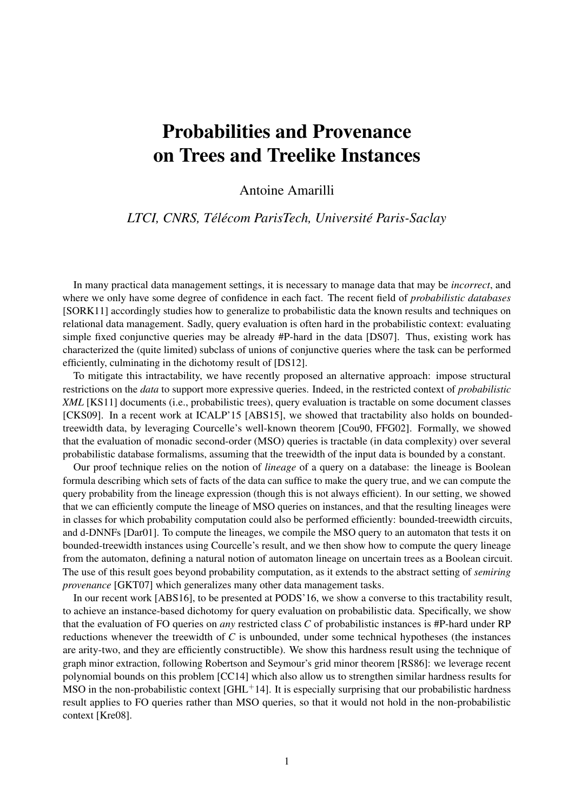## Probabilities and Provenance on Trees and Treelike Instances

Antoine Amarilli

## *LTCI, CNRS, Télécom ParisTech, Université Paris-Saclay*

In many practical data management settings, it is necessary to manage data that may be *incorrect*, and where we only have some degree of confidence in each fact. The recent field of *probabilistic databases* [\[SORK11\]](#page-1-0) accordingly studies how to generalize to probabilistic data the known results and techniques on relational data management. Sadly, query evaluation is often hard in the probabilistic context: evaluating simple fixed conjunctive queries may be already #P-hard in the data [\[DS07\]](#page-1-1). Thus, existing work has characterized the (quite limited) subclass of unions of conjunctive queries where the task can be performed efficiently, culminating in the dichotomy result of [\[DS12\]](#page-1-2).

To mitigate this intractability, we have recently proposed an alternative approach: impose structural restrictions on the *data* to support more expressive queries. Indeed, in the restricted context of *probabilistic XML* [\[KS11\]](#page-1-3) documents (i.e., probabilistic trees), query evaluation is tractable on some document classes [\[CKS09\]](#page-1-4). In a recent work at ICALP'15 [\[ABS15\]](#page-1-5), we showed that tractability also holds on boundedtreewidth data, by leveraging Courcelle's well-known theorem [\[Cou90,](#page-1-6) [FFG02\]](#page-1-7). Formally, we showed that the evaluation of monadic second-order (MSO) queries is tractable (in data complexity) over several probabilistic database formalisms, assuming that the treewidth of the input data is bounded by a constant.

Our proof technique relies on the notion of *lineage* of a query on a database: the lineage is Boolean formula describing which sets of facts of the data can suffice to make the query true, and we can compute the query probability from the lineage expression (though this is not always efficient). In our setting, we showed that we can efficiently compute the lineage of MSO queries on instances, and that the resulting lineages were in classes for which probability computation could also be performed efficiently: bounded-treewidth circuits, and d-DNNFs [\[Dar01\]](#page-1-8). To compute the lineages, we compile the MSO query to an automaton that tests it on bounded-treewidth instances using Courcelle's result, and we then show how to compute the query lineage from the automaton, defining a natural notion of automaton lineage on uncertain trees as a Boolean circuit. The use of this result goes beyond probability computation, as it extends to the abstract setting of *semiring provenance* [\[GKT07\]](#page-1-9) which generalizes many other data management tasks.

In our recent work [\[ABS16\]](#page-1-10), to be presented at PODS'16, we show a converse to this tractability result, to achieve an instance-based dichotomy for query evaluation on probabilistic data. Specifically, we show that the evaluation of FO queries on *any* restricted class *C* of probabilistic instances is #P-hard under RP reductions whenever the treewidth of *C* is unbounded, under some technical hypotheses (the instances are arity-two, and they are efficiently constructible). We show this hardness result using the technique of graph minor extraction, following Robertson and Seymour's grid minor theorem [\[RS86\]](#page-1-11): we leverage recent polynomial bounds on this problem [\[CC14\]](#page-1-12) which also allow us to strengthen similar hardness results for MSO in the non-probabilistic context  $[GHL^+14]$  $[GHL^+14]$ . It is especially surprising that our probabilistic hardness result applies to FO queries rather than MSO queries, so that it would not hold in the non-probabilistic context [\[Kre08\]](#page-1-14).